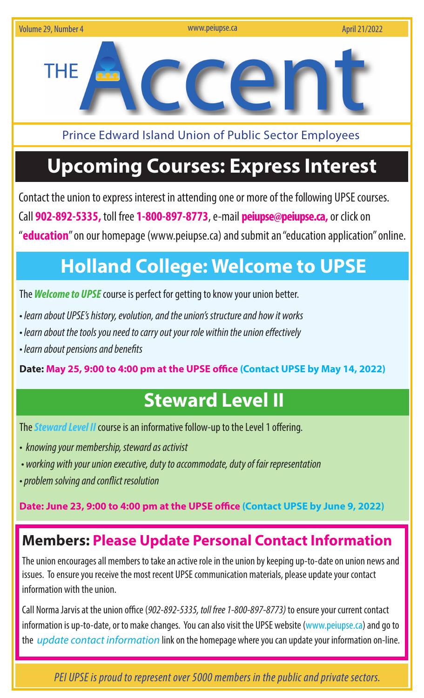

Prince Edward Island Union of Public Sector Employees

# **Upcoming Courses: Express Interest**

Contact the union to express interest in attending one or more of the following UPSE courses. Call **902-892-5335,** toll free **1-800-897-8773**, e-mail **peiupse@peiupse.ca,** or click on "**education**" on our homepage (www.peiupse.ca) and submit an "education application" online.

# **Holland College: Welcome to UPSE**

The *Welcome to UPSE* course is perfect for getting to know your union better.

- *learn about UPSE's history, evolution, and the union's structure and how it works*
- *learn about the tools you need to carry out your role within the union effectively*
- *learn about pensions and benefits*

**Date: May 25, 9:00 to 4:00 pm at the UPSE office (Contact UPSE by May 14, 2022)**

### **Steward Level II**

The *Steward Level II* course is an informative follow-up to the Level 1 offering.

- *knowing your membership, steward as activist*
- *working with your union executive, duty to accommodate, duty of fair representation*
- *problem solving and conflict resolution*

**Date: June 23, 9:00 to 4:00 pm at the UPSE office (Contact UPSE by June 9, 2022)**

#### **Members: Please Update Personal Contact Information**

The union encourages all members to take an active role in the union by keeping up-to-date on union news and issues. To ensure you receive the most recent UPSE communication materials, please update your contact information with the union.

Call Norma Jarvis at the union office (*902-892-5335, toll free 1-800-897-8773)* to ensure your current contact information is up-to-date, or to make changes. You can also visit the UPSE website (www.peiupse.ca) and go to the *update contact information* link on the homepage where you can update your information on-line.

 *PEI UPSE is proud to represent over 5000 members in the public and private sectors.*